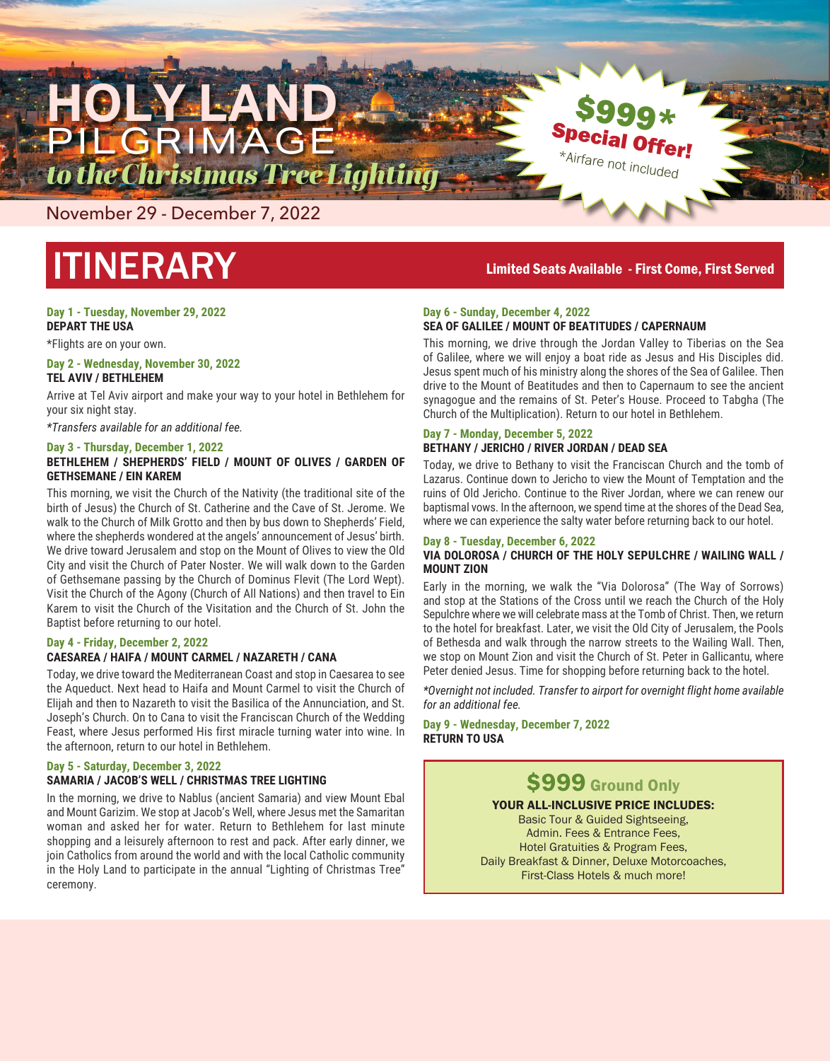

November 29 - December 7, 2022

# ITINERARY

## **Day 1 - Tuesday, November 29, 2022**

**DEPART THE USA**

## \*Flights are on your own.

#### **Day 2 - Wednesday, November 30, 2022 TEL AVIV / BETHLEHEM**

Arrive at Tel Aviv airport and make your way to your hotel in Bethlehem for your six night stay.

*\*Transfers available for an additional fee.*

## **Day 3 - Thursday, December 1, 2022**

## **BETHLEHEM / SHEPHERDS' FIELD / MOUNT OF OLIVES / GARDEN OF GETHSEMANE / EIN KAREM**

This morning, we visit the Church of the Nativity (the traditional site of the birth of Jesus) the Church of St. Catherine and the Cave of St. Jerome. We walk to the Church of Milk Grotto and then by bus down to Shepherds' Field, where the shepherds wondered at the angels' announcement of Jesus' birth. We drive toward Jerusalem and stop on the Mount of Olives to view the Old City and visit the Church of Pater Noster. We will walk down to the Garden of Gethsemane passing by the Church of Dominus Flevit (The Lord Wept). Visit the Church of the Agony (Church of All Nations) and then travel to Ein Karem to visit the Church of the Visitation and the Church of St. John the Baptist before returning to our hotel.

## **Day 4 - Friday, December 2, 2022**

## **CAESAREA / HAIFA / MOUNT CARMEL / NAZARETH / CANA**

Today, we drive toward the Mediterranean Coast and stop in Caesarea to see the Aqueduct. Next head to Haifa and Mount Carmel to visit the Church of Elijah and then to Nazareth to visit the Basilica of the Annunciation, and St. Joseph's Church. On to Cana to visit the Franciscan Church of the Wedding Feast, where Jesus performed His first miracle turning water into wine. In the afternoon, return to our hotel in Bethlehem.

## **Day 5 - Saturday, December 3, 2022**

## **SAMARIA / JACOB'S WELL / CHRISTMAS TREE LIGHTING**

In the morning, we drive to Nablus (ancient Samaria) and view Mount Ebal and Mount Garizim. We stop at Jacob's Well, where Jesus met the Samaritan woman and asked her for water. Return to Bethlehem for last minute shopping and a leisurely afternoon to rest and pack. After early dinner, we join Catholics from around the world and with the local Catholic community in the Holy Land to participate in the annual "Lighting of Christmas Tree" ceremony.

## Limited Seats Available - First Come, First Served

\$999\*

**Special Offer!** \*Airfare not included

## **Day 6 - Sunday, December 4, 2022 SEA OF GALILEE / MOUNT OF BEATITUDES / CAPERNAUM**

This morning, we drive through the Jordan Valley to Tiberias on the Sea of Galilee, where we will enjoy a boat ride as Jesus and His Disciples did. Jesus spent much of his ministry along the shores of the Sea of Galilee. Then drive to the Mount of Beatitudes and then to Capernaum to see the ancient synagogue and the remains of St. Peter's House. Proceed to Tabgha (The Church of the Multiplication). Return to our hotel in Bethlehem.

## **Day 7 - Monday, December 5, 2022 BETHANY / JERICHO / RIVER JORDAN / DEAD SEA**

Today, we drive to Bethany to visit the Franciscan Church and the tomb of Lazarus. Continue down to Jericho to view the Mount of Temptation and the ruins of Old Jericho. Continue to the River Jordan, where we can renew our baptismal vows. In the afternoon, we spend time at the shores of the Dead Sea, where we can experience the salty water before returning back to our hotel.

## **Day 8 - Tuesday, December 6, 2022**

## **VIA DOLOROSA / CHURCH OF THE HOLY SEPULCHRE / WAILING WALL / MOUNT ZION**

Early in the morning, we walk the "Via Dolorosa" (The Way of Sorrows) and stop at the Stations of the Cross until we reach the Church of the Holy Sepulchre where we will celebrate mass at the Tomb of Christ. Then, we return to the hotel for breakfast. Later, we visit the Old City of Jerusalem, the Pools of Bethesda and walk through the narrow streets to the Wailing Wall. Then, we stop on Mount Zion and visit the Church of St. Peter in Gallicantu, where Peter denied Jesus. Time for shopping before returning back to the hotel.

*\*Overnight not included. Transfer to airport for overnight flight home available for an additional fee.*

**Day 9 - Wednesday, December 7, 2022 RETURN TO USA**

# \$999 Ground Only

## YOUR ALL-INCLUSIVE PRICE INCLUDES:

Basic Tour & Guided Sightseeing, Admin. Fees & Entrance Fees, Hotel Gratuities & Program Fees, Daily Breakfast & Dinner, Deluxe Motorcoaches, First-Class Hotels & much more!